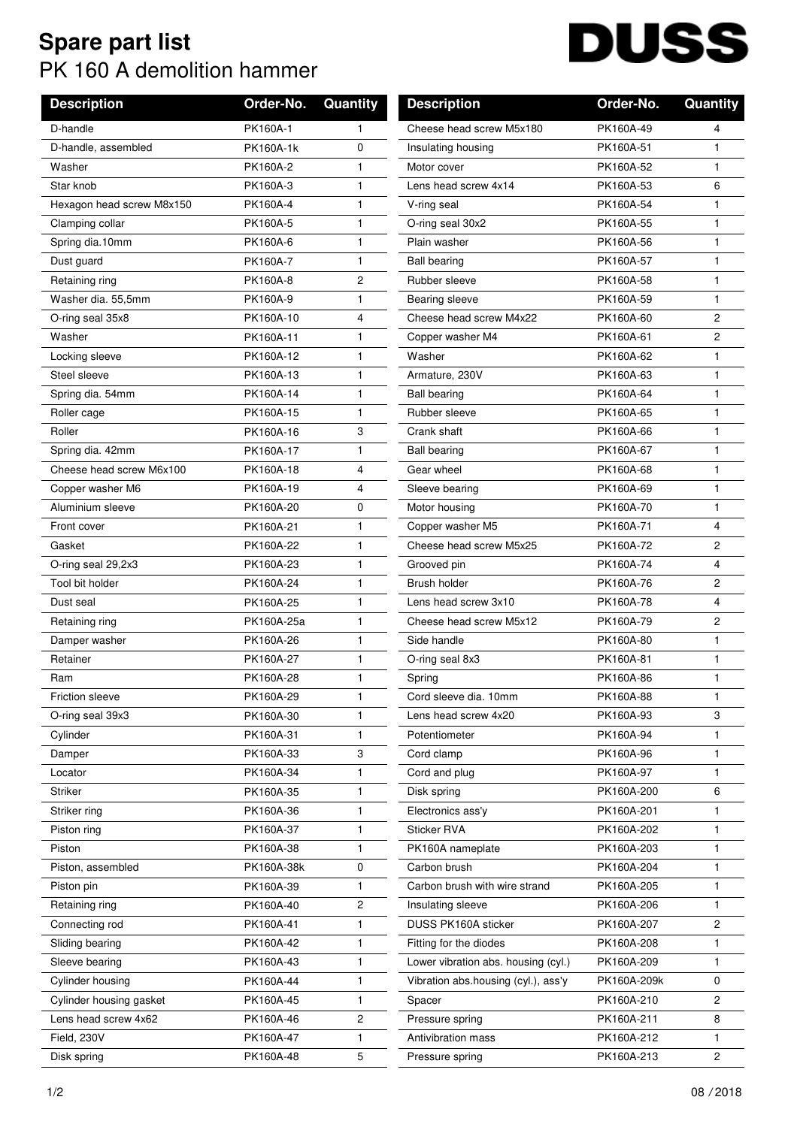## **Spare part list** PK 160 A demolition hammer

## **DUSS**  $\overline{\phantom{a}}$

| <b>Description</b>        | Order-No.  | Quantity       | <b>Description</b>                  | Order-No.   | Quantity       |
|---------------------------|------------|----------------|-------------------------------------|-------------|----------------|
| D-handle                  | PK160A-1   | $\mathbf{1}$   | Cheese head screw M5x180            | PK160A-49   | 4              |
| D-handle, assembled       | PK160A-1k  | 0              | Insulating housing                  | PK160A-51   | 1.             |
| Washer                    | PK160A-2   | 1              | Motor cover                         | PK160A-52   | $\mathbf{1}$   |
| Star knob                 | PK160A-3   | $\mathbf{1}$   | Lens head screw 4x14                | PK160A-53   | 6              |
| Hexagon head screw M8x150 | PK160A-4   | 1              | V-ring seal                         | PK160A-54   | $\mathbf{1}$   |
| Clamping collar           | PK160A-5   | $\mathbf{1}$   | O-ring seal 30x2                    | PK160A-55   | $\mathbf{1}$   |
| Spring dia.10mm           | PK160A-6   | 1              | Plain washer                        | PK160A-56   | $\mathbf{1}$   |
| Dust guard                | PK160A-7   | 1              | <b>Ball bearing</b>                 | PK160A-57   | $\mathbf{1}$   |
| Retaining ring            | PK160A-8   | $\overline{c}$ | Rubber sleeve                       | PK160A-58   | 1              |
| Washer dia. 55,5mm        | PK160A-9   | 1              | Bearing sleeve                      | PK160A-59   | $\mathbf{1}$   |
| O-ring seal 35x8          | PK160A-10  | 4              | Cheese head screw M4x22             | PK160A-60   | 2              |
| Washer                    | PK160A-11  | $\mathbf{1}$   | Copper washer M4                    | PK160A-61   | $\overline{c}$ |
| Locking sleeve            | PK160A-12  | 1              | Washer                              | PK160A-62   | $\mathbf{1}$   |
| Steel sleeve              | PK160A-13  | 1              | Armature, 230V                      | PK160A-63   | $\mathbf{1}$   |
| Spring dia. 54mm          | PK160A-14  | $\mathbf{1}$   | <b>Ball bearing</b>                 | PK160A-64   | $\mathbf{1}$   |
| Roller cage               | PK160A-15  | 1.             | Rubber sleeve                       | PK160A-65   | $\mathbf{1}$   |
| Roller                    | PK160A-16  | 3              | Crank shaft                         | PK160A-66   | $\mathbf{1}$   |
| Spring dia. 42mm          | PK160A-17  | 1              | <b>Ball bearing</b>                 | PK160A-67   | 1              |
| Cheese head screw M6x100  | PK160A-18  | 4              | Gear wheel                          | PK160A-68   | $\mathbf{1}$   |
| Copper washer M6          | PK160A-19  | 4              | Sleeve bearing                      | PK160A-69   | $\mathbf{1}$   |
| Aluminium sleeve          | PK160A-20  | 0              | Motor housing                       | PK160A-70   | $\mathbf{1}$   |
| Front cover               | PK160A-21  | $\mathbf{1}$   | Copper washer M5                    | PK160A-71   | 4              |
| Gasket                    | PK160A-22  | 1              | Cheese head screw M5x25             | PK160A-72   | $\overline{c}$ |
| O-ring seal 29,2x3        | PK160A-23  | 1              | Grooved pin                         | PK160A-74   | 4              |
| Tool bit holder           | PK160A-24  | 1              | Brush holder                        | PK160A-76   | 2              |
| Dust seal                 | PK160A-25  | $\mathbf{1}$   | Lens head screw 3x10                | PK160A-78   | 4              |
| Retaining ring            | PK160A-25a | 1              | Cheese head screw M5x12             | PK160A-79   | 2              |
| Damper washer             | PK160A-26  | $\mathbf{1}$   | Side handle                         | PK160A-80   | $\mathbf{1}$   |
| Retainer                  | PK160A-27  | $\mathbf{1}$   | O-ring seal 8x3                     | PK160A-81   | $\mathbf{1}$   |
| Ram                       | PK160A-28  | 1.             | Spring                              | PK160A-86   | 1              |
| Friction sleeve           | PK160A-29  | 1              | Cord sleeve dia. 10mm               | PK160A-88   | 1              |
| O-ring seal 39x3          | PK160A-30  | 1              | Lens head screw 4x20                | PK160A-93   | 3              |
| Cylinder                  | PK160A-31  | 1.             | Potentiometer                       | PK160A-94   | 1              |
| Damper                    | PK160A-33  | 3              | Cord clamp                          | PK160A-96   | 1              |
| Locator                   | PK160A-34  | 1              | Cord and plug                       | PK160A-97   | 1              |
| <b>Striker</b>            | PK160A-35  | 1              | Disk spring                         | PK160A-200  | 6              |
| Striker ring              | PK160A-36  | 1              | Electronics ass'v                   | PK160A-201  | 1              |
| Piston ring               | PK160A-37  | 1.             | Sticker RVA                         | PK160A-202  | 1              |
| Piston                    | PK160A-38  | 1.             | PK160A nameplate                    | PK160A-203  | 1              |
| Piston, assembled         | PK160A-38k | 0              | Carbon brush                        | PK160A-204  | 1              |
| Piston pin                | PK160A-39  | 1.             | Carbon brush with wire strand       | PK160A-205  | 1.             |
| Retaining ring            | PK160A-40  | 2              | Insulating sleeve                   | PK160A-206  | 1              |
| Connecting rod            | PK160A-41  | 1              | DUSS PK160A sticker                 | PK160A-207  | $\overline{c}$ |
| Sliding bearing           | PK160A-42  | 1.             | Fitting for the diodes              | PK160A-208  | 1.             |
| Sleeve bearing            | PK160A-43  | 1              | Lower vibration abs. housing (cyl.) | PK160A-209  | $\mathbf{1}$   |
| Cylinder housing          | PK160A-44  | 1              | Vibration abs.housing (cyl.), ass'y | PK160A-209k | 0              |
| Cylinder housing gasket   | PK160A-45  | 1              | Spacer                              | PK160A-210  | 2              |
| Lens head screw 4x62      | PK160A-46  | 2              | Pressure spring                     | PK160A-211  | 8              |
| Field, 230V               | PK160A-47  | 1              | Antivibration mass                  | PK160A-212  | 1.             |
| Disk spring               | PK160A-48  | 5              | Pressure spring                     | PK160A-213  | 2              |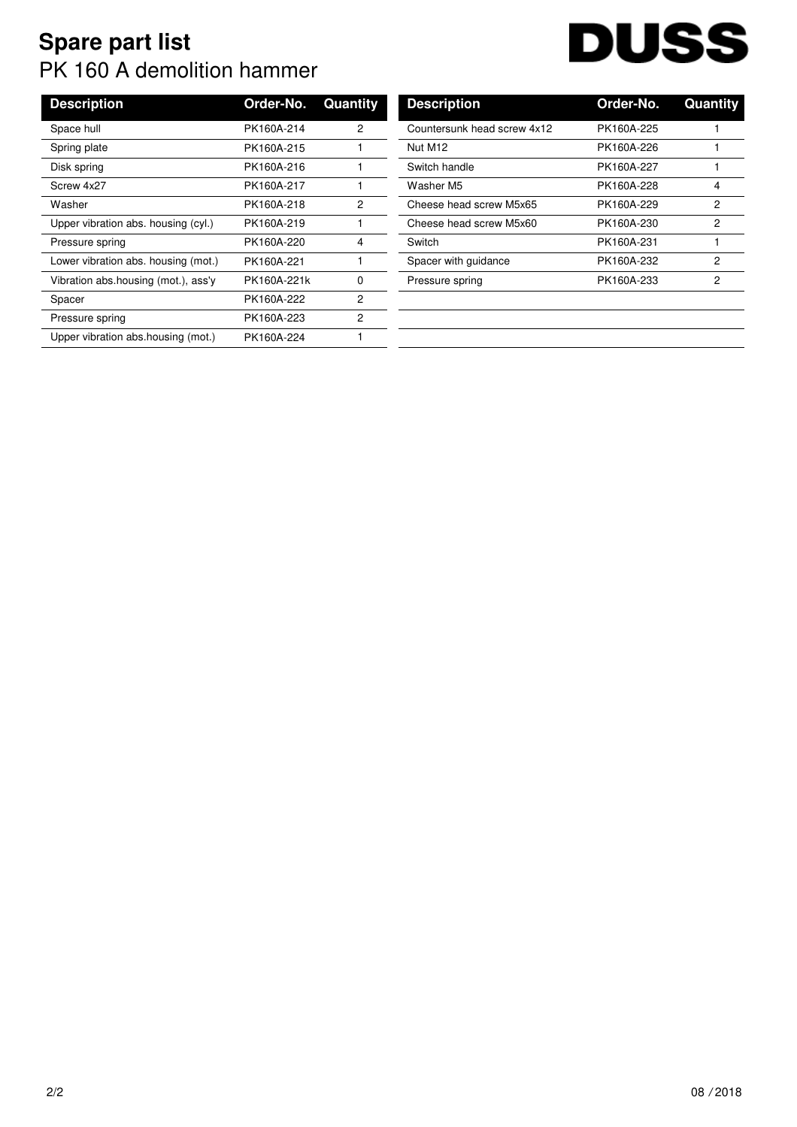## **Spare part list** PK 160 A demolition hammer

## **DUSS**  $\overline{\phantom{a}}$

| <b>Description</b>                  | Order-No.   | Quantity | <b>Description</b>          | Order-No.  | Quan |
|-------------------------------------|-------------|----------|-----------------------------|------------|------|
| Space hull                          | PK160A-214  | 2        | Countersunk head screw 4x12 | PK160A-225 |      |
| Spring plate                        | PK160A-215  |          | Nut M12                     | PK160A-226 |      |
| Disk spring                         | PK160A-216  |          | Switch handle               | PK160A-227 |      |
| Screw 4x27                          | PK160A-217  |          | Washer M5                   | PK160A-228 |      |
| Washer                              | PK160A-218  | 2        | Cheese head screw M5x65     | PK160A-229 |      |
| Upper vibration abs. housing (cyl.) | PK160A-219  |          | Cheese head screw M5x60     | PK160A-230 |      |
| Pressure spring                     | PK160A-220  | 4        | Switch                      | PK160A-231 |      |
| Lower vibration abs. housing (mot.) | PK160A-221  |          | Spacer with guidance        | PK160A-232 |      |
| Vibration abs.housing (mot.), ass'y | PK160A-221k | 0        | Pressure spring             | PK160A-233 |      |
| Spacer                              | PK160A-222  | 2        |                             |            |      |
| Pressure spring                     | PK160A-223  | 2        |                             |            |      |
| Upper vibration abs.housing (mot.)  | PK160A-224  |          |                             |            |      |
|                                     |             |          |                             |            |      |

| <b>Description</b>          | Order-No.  | Quantity |
|-----------------------------|------------|----------|
| Countersunk head screw 4x12 | PK160A-225 |          |
| Nut M12                     | PK160A-226 |          |
| Switch handle               | PK160A-227 | 1        |
| Washer M5                   | PK160A-228 | 4        |
| Cheese head screw M5x65     | PK160A-229 | 2        |
| Cheese head screw M5x60     | PK160A-230 | 2        |
| Switch                      | PK160A-231 | 1        |
| Spacer with guidance        | PK160A-232 | 2        |
| Pressure spring             | PK160A-233 | 2        |
|                             |            |          |